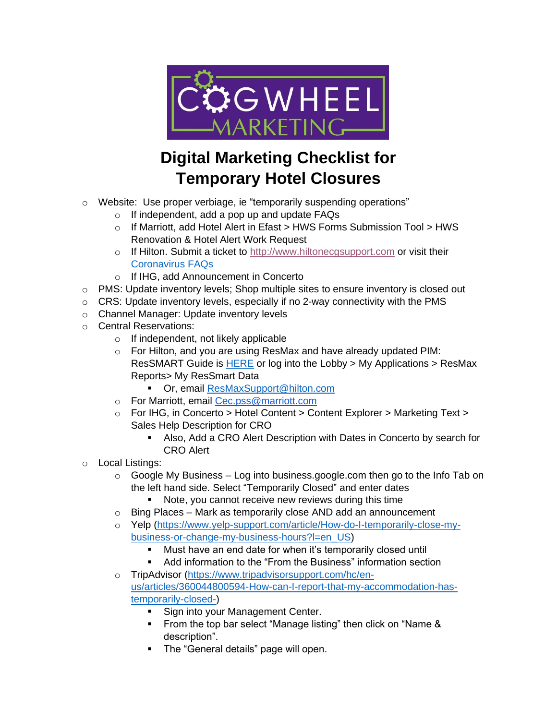

## **Digital Marketing Checklist for Temporary Hotel Closures**

- o Website: Use proper verbiage, ie "temporarily suspending operations"
	- o If independent, add a pop up and update FAQs
	- o If Marriott, add Hotel Alert in Efast > HWS Forms Submission Tool > HWS Renovation & Hotel Alert Work Request
	- o If Hilton. Submit a ticket to [http://www.hiltonecgsupport.com](http://www.hiltonecgsupport.com/) or visit their [Coronavirus FAQs](https://lobby.hilton.com/Pages/GlobalHealthAlerts.aspx?keyword=https://lobby.hilton.com/search/Pages/results.aspx?k=global%20health%20alerts&utm_source=lobby&utm_medium=quicklinks&utm_campaign=CoronavirusFAQsandResources)
	- o If IHG, add Announcement in Concerto
- $\circ$  PMS: Update inventory levels; Shop multiple sites to ensure inventory is closed out
- $\circ$  CRS: Update inventory levels, especially if no 2-way connectivity with the PMS
- o Channel Manager: Update inventory levels
- o Central Reservations:
	- o If independent, not likely applicable
	- o For Hilton, and you are using ResMax and have already updated PIM: ResSMART Guide is **HERE** or log into the Lobby > My Applications > ResMax Reports> My ResSmart Data
		- Or, email [ResMaxSupport@hilton.com](mailto:ResMaxSupport@hilton.com)
	- o For Marriott, email [Cec.pss@marriott.com](mailto:Cec.pss@marriott.com)
	- $\circ$  For IHG, in Concerto > Hotel Content > Content Explorer > Marketing Text > Sales Help Description for CRO
		- Also, Add a CRO Alert Description with Dates in Concerto by search for CRO Alert
- o Local Listings:
	- $\circ$  Google My Business Log into business.google.com then go to the Info Tab on the left hand side. Select "Temporarily Closed" and enter dates
		- Note, you cannot receive new reviews during this time
	- $\circ$  Bing Places Mark as temporarily close AND add an announcement
	- o Yelp [\(https://www.yelp-support.com/article/How-do-I-temporarily-close-my](https://www.yelp-support.com/article/How-do-I-temporarily-close-my-business-or-change-my-business-hours?l=en_US)[business-or-change-my-business-hours?l=en\\_US\)](https://www.yelp-support.com/article/How-do-I-temporarily-close-my-business-or-change-my-business-hours?l=en_US)
		- Must have an end date for when it's temporarily closed until
		- Add information to the "From the Business" information section
	- o TripAdvisor [\(https://www.tripadvisorsupport.com/hc/en](https://www.tripadvisorsupport.com/hc/en-us/articles/360044800594-How-can-I-report-that-my-accommodation-has-temporarily-closed-)[us/articles/360044800594-How-can-I-report-that-my-accommodation-has](https://www.tripadvisorsupport.com/hc/en-us/articles/360044800594-How-can-I-report-that-my-accommodation-has-temporarily-closed-)[temporarily-closed-\)](https://www.tripadvisorsupport.com/hc/en-us/articles/360044800594-How-can-I-report-that-my-accommodation-has-temporarily-closed-)
		- Sign into your Management Center.
		- From the top bar select "Manage listing" then click on "Name & description".
		- **The "General details" page will open.**